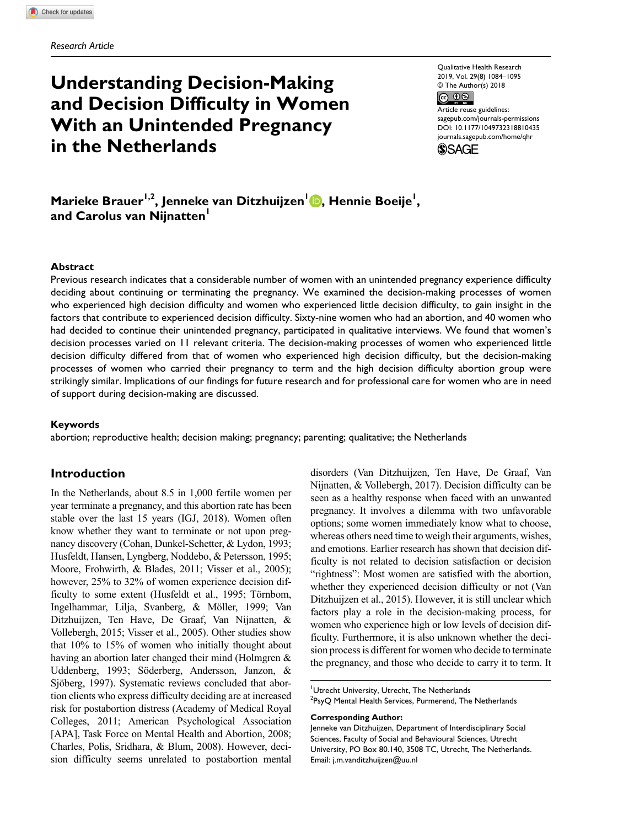# **Understanding Decision-Making and Decision Difficulty in Women With an Unintended Pregnancy in the Netherlands**

Qualitative Health Research 2019, Vol. 29(8) 1084–1095 © The Author(s) 2018 

https://doi.org/10.1177/1049732318810435 DOI: 10.1177/1049732318810435 Article reuse guidelines: [sagepub.com/journals-permissions](https://us.sagepub.com/en-us/journals-permissions) [journals.sagepub.com/home/qhr](https://journals.sagepub.com/home/qhr)

**SSAGE** 

**Marieke Brauer<sup>!,2</sup>, Jenneke van Ditzhuijzen<sup>l</sup> D, Hennie Boeije<sup>!</sup>,** and Carolus van Nijnatten<sup>1</sup>

### **Abstract**

Previous research indicates that a considerable number of women with an unintended pregnancy experience difficulty deciding about continuing or terminating the pregnancy. We examined the decision-making processes of women who experienced high decision difficulty and women who experienced little decision difficulty, to gain insight in the factors that contribute to experienced decision difficulty. Sixty-nine women who had an abortion, and 40 women who had decided to continue their unintended pregnancy, participated in qualitative interviews. We found that women's decision processes varied on 11 relevant criteria. The decision-making processes of women who experienced little decision difficulty differed from that of women who experienced high decision difficulty, but the decision-making processes of women who carried their pregnancy to term and the high decision difficulty abortion group were strikingly similar. Implications of our findings for future research and for professional care for women who are in need of support during decision-making are discussed.

#### **Keywords**

abortion; reproductive health; decision making; pregnancy; parenting; qualitative; the Netherlands

### **Introduction**

In the Netherlands, about 8.5 in 1,000 fertile women per year terminate a pregnancy, and this abortion rate has been stable over the last 15 years (IGJ, 2018). Women often know whether they want to terminate or not upon pregnancy discovery (Cohan, Dunkel-Schetter, & Lydon, 1993; Husfeldt, Hansen, Lyngberg, Noddebo, & Petersson, 1995; Moore, Frohwirth, & Blades, 2011; Visser et al., 2005); however, 25% to 32% of women experience decision difficulty to some extent (Husfeldt et al., 1995; Törnbom, Ingelhammar, Lilja, Svanberg, & Möller, 1999; Van Ditzhuijzen, Ten Have, De Graaf, Van Nijnatten, & Vollebergh, 2015; Visser et al., 2005). Other studies show that 10% to 15% of women who initially thought about having an abortion later changed their mind (Holmgren & Uddenberg, 1993; Söderberg, Andersson, Janzon, & Sjöberg, 1997). Systematic reviews concluded that abortion clients who express difficulty deciding are at increased risk for postabortion distress (Academy of Medical Royal Colleges, 2011; American Psychological Association [APA], Task Force on Mental Health and Abortion, 2008; Charles, Polis, Sridhara, & Blum, 2008). However, decision difficulty seems unrelated to postabortion mental disorders (Van Ditzhuijzen, Ten Have, De Graaf, Van Nijnatten, & Vollebergh, 2017). Decision difficulty can be seen as a healthy response when faced with an unwanted pregnancy. It involves a dilemma with two unfavorable options; some women immediately know what to choose, whereas others need time to weigh their arguments, wishes, and emotions. Earlier research has shown that decision difficulty is not related to decision satisfaction or decision "rightness": Most women are satisfied with the abortion, whether they experienced decision difficulty or not (Van Ditzhuijzen et al., 2015). However, it is still unclear which factors play a role in the decision-making process, for women who experience high or low levels of decision difficulty. Furthermore, it is also unknown whether the decision process is different for women who decide to terminate the pregnancy, and those who decide to carry it to term. It

#### **Corresponding Author:**

Jenneke van Ditzhuijzen, Department of Interdisciplinary Social Sciences, Faculty of Social and Behavioural Sciences, Utrecht University, PO Box 80.140, 3508 TC, Utrecht, The Netherlands. Email: [j.m.vanditzhuijzen@uu.nl](mailto:j.m.vanditzhuijzen@uu.nl)

Utrecht University, Utrecht, The Netherlands  $^{2}$ PsyQ Mental Health Services, Purmerend, The Netherlands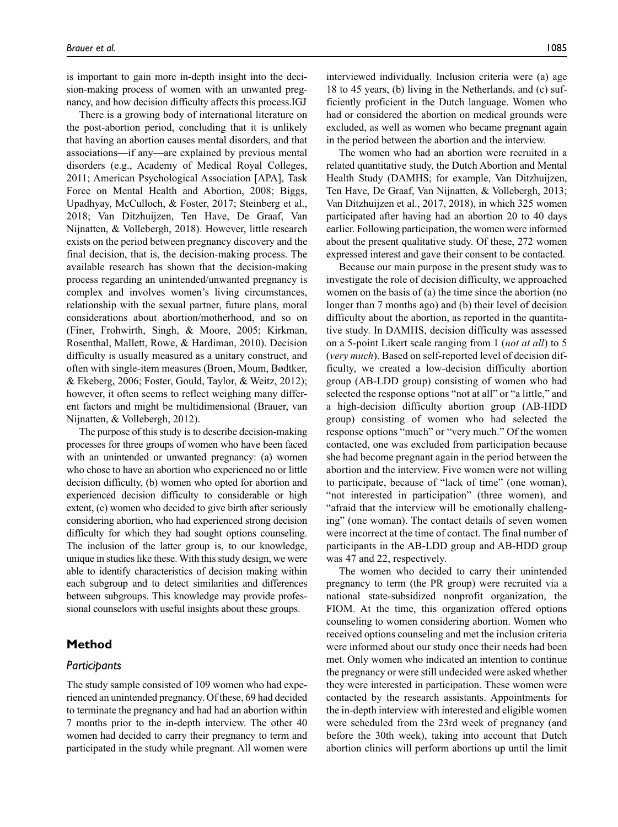is important to gain more in-depth insight into the decision-making process of women with an unwanted pregnancy, and how decision difficulty affects this process.IGJ

There is a growing body of international literature on the post-abortion period, concluding that it is unlikely that having an abortion causes mental disorders, and that associations—if any—are explained by previous mental disorders (e.g., Academy of Medical Royal Colleges, 2011; American Psychological Association [APA], Task Force on Mental Health and Abortion, 2008; Biggs, Upadhyay, McCulloch, & Foster, 2017; Steinberg et al., 2018; Van Ditzhuijzen, Ten Have, De Graaf, Van Nijnatten, & Vollebergh, 2018). However, little research exists on the period between pregnancy discovery and the final decision, that is, the decision-making process. The available research has shown that the decision-making process regarding an unintended/unwanted pregnancy is complex and involves women's living circumstances, relationship with the sexual partner, future plans, moral considerations about abortion/motherhood, and so on (Finer, Frohwirth, Singh, & Moore, 2005; Kirkman, Rosenthal, Mallett, Rowe, & Hardiman, 2010). Decision difficulty is usually measured as a unitary construct, and often with single-item measures (Broen, Moum, Bødtker, & Ekeberg, 2006; Foster, Gould, Taylor, & Weitz, 2012); however, it often seems to reflect weighing many different factors and might be multidimensional (Brauer, van Nijnatten, & Vollebergh, 2012).

The purpose of this study is to describe decision-making processes for three groups of women who have been faced with an unintended or unwanted pregnancy: (a) women who chose to have an abortion who experienced no or little decision difficulty, (b) women who opted for abortion and experienced decision difficulty to considerable or high extent, (c) women who decided to give birth after seriously considering abortion, who had experienced strong decision difficulty for which they had sought options counseling. The inclusion of the latter group is, to our knowledge, unique in studies like these. With this study design, we were able to identify characteristics of decision making within each subgroup and to detect similarities and differences between subgroups. This knowledge may provide professional counselors with useful insights about these groups.

# **Method**

# *Participants*

The study sample consisted of 109 women who had experienced an unintended pregnancy. Of these, 69 had decided to terminate the pregnancy and had had an abortion within 7 months prior to the in-depth interview. The other 40 women had decided to carry their pregnancy to term and participated in the study while pregnant. All women were interviewed individually. Inclusion criteria were (a) age 18 to 45 years, (b) living in the Netherlands, and (c) sufficiently proficient in the Dutch language. Women who had or considered the abortion on medical grounds were excluded, as well as women who became pregnant again in the period between the abortion and the interview.

The women who had an abortion were recruited in a related quantitative study, the Dutch Abortion and Mental Health Study (DAMHS; for example, Van Ditzhuijzen, Ten Have, De Graaf, Van Nijnatten, & Vollebergh, 2013; Van Ditzhuijzen et al., 2017, 2018), in which 325 women participated after having had an abortion 20 to 40 days earlier. Following participation, the women were informed about the present qualitative study. Of these, 272 women expressed interest and gave their consent to be contacted.

Because our main purpose in the present study was to investigate the role of decision difficulty, we approached women on the basis of (a) the time since the abortion (no longer than 7 months ago) and (b) their level of decision difficulty about the abortion, as reported in the quantitative study. In DAMHS, decision difficulty was assessed on a 5-point Likert scale ranging from 1 (*not at all*) to 5 (*very much*). Based on self-reported level of decision difficulty, we created a low-decision difficulty abortion group (AB-LDD group) consisting of women who had selected the response options "not at all" or "a little," and a high-decision difficulty abortion group (AB-HDD group) consisting of women who had selected the response options "much" or "very much." Of the women contacted, one was excluded from participation because she had become pregnant again in the period between the abortion and the interview. Five women were not willing to participate, because of "lack of time" (one woman), "not interested in participation" (three women), and "afraid that the interview will be emotionally challenging" (one woman). The contact details of seven women were incorrect at the time of contact. The final number of participants in the AB-LDD group and AB-HDD group was 47 and 22, respectively.

The women who decided to carry their unintended pregnancy to term (the PR group) were recruited via a national state-subsidized nonprofit organization, the FIOM. At the time, this organization offered options counseling to women considering abortion. Women who received options counseling and met the inclusion criteria were informed about our study once their needs had been met. Only women who indicated an intention to continue the pregnancy or were still undecided were asked whether they were interested in participation. These women were contacted by the research assistants. Appointments for the in-depth interview with interested and eligible women were scheduled from the 23rd week of pregnancy (and before the 30th week), taking into account that Dutch abortion clinics will perform abortions up until the limit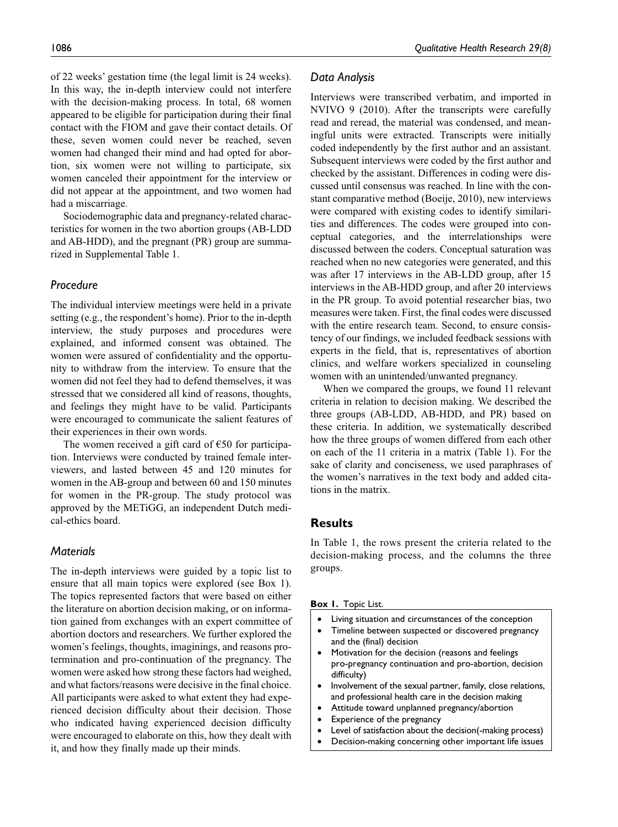of 22 weeks' gestation time (the legal limit is 24 weeks). In this way, the in-depth interview could not interfere with the decision-making process. In total, 68 women appeared to be eligible for participation during their final contact with the FIOM and gave their contact details. Of these, seven women could never be reached, seven women had changed their mind and had opted for abortion, six women were not willing to participate, six women canceled their appointment for the interview or did not appear at the appointment, and two women had had a miscarriage.

Sociodemographic data and pregnancy-related characteristics for women in the two abortion groups (AB-LDD and AB-HDD), and the pregnant (PR) group are summarized in Supplemental Table 1.

### *Procedure*

The individual interview meetings were held in a private setting (e.g., the respondent's home). Prior to the in-depth interview, the study purposes and procedures were explained, and informed consent was obtained. The women were assured of confidentiality and the opportunity to withdraw from the interview. To ensure that the women did not feel they had to defend themselves, it was stressed that we considered all kind of reasons, thoughts, and feelings they might have to be valid. Participants were encouraged to communicate the salient features of their experiences in their own words.

The women received a gift card of  $\epsilon$ 50 for participation. Interviews were conducted by trained female interviewers, and lasted between 45 and 120 minutes for women in the AB-group and between 60 and 150 minutes for women in the PR-group. The study protocol was approved by the METiGG, an independent Dutch medical-ethics board.

### *Materials*

The in-depth interviews were guided by a topic list to ensure that all main topics were explored (see Box 1). The topics represented factors that were based on either the literature on abortion decision making, or on information gained from exchanges with an expert committee of abortion doctors and researchers. We further explored the women's feelings, thoughts, imaginings, and reasons protermination and pro-continuation of the pregnancy. The women were asked how strong these factors had weighed, and what factors/reasons were decisive in the final choice. All participants were asked to what extent they had experienced decision difficulty about their decision. Those who indicated having experienced decision difficulty were encouraged to elaborate on this, how they dealt with it, and how they finally made up their minds.

# *Data Analysis*

Interviews were transcribed verbatim, and imported in NVIVO 9 (2010). After the transcripts were carefully read and reread, the material was condensed, and meaningful units were extracted. Transcripts were initially coded independently by the first author and an assistant. Subsequent interviews were coded by the first author and checked by the assistant. Differences in coding were discussed until consensus was reached. In line with the constant comparative method (Boeije, 2010), new interviews were compared with existing codes to identify similarities and differences. The codes were grouped into conceptual categories, and the interrelationships were discussed between the coders. Conceptual saturation was reached when no new categories were generated, and this was after 17 interviews in the AB-LDD group, after 15 interviews in the AB-HDD group, and after 20 interviews in the PR group. To avoid potential researcher bias, two measures were taken. First, the final codes were discussed with the entire research team. Second, to ensure consistency of our findings, we included feedback sessions with experts in the field, that is, representatives of abortion clinics, and welfare workers specialized in counseling women with an unintended/unwanted pregnancy.

When we compared the groups, we found 11 relevant criteria in relation to decision making. We described the three groups (AB-LDD, AB-HDD, and PR) based on these criteria. In addition, we systematically described how the three groups of women differed from each other on each of the 11 criteria in a matrix (Table 1). For the sake of clarity and conciseness, we used paraphrases of the women's narratives in the text body and added citations in the matrix.

# **Results**

In Table 1, the rows present the criteria related to the decision-making process, and the columns the three groups.

#### **Box 1.** Topic List.

- Living situation and circumstances of the conception
- Timeline between suspected or discovered pregnancy and the (final) decision
- Motivation for the decision (reasons and feelings pro-pregnancy continuation and pro-abortion, decision difficulty)
- Involvement of the sexual partner, family, close relations, and professional health care in the decision making
- Attitude toward unplanned pregnancy/abortion
- Experience of the pregnancy
- Level of satisfaction about the decision(-making process)
- Decision-making concerning other important life issues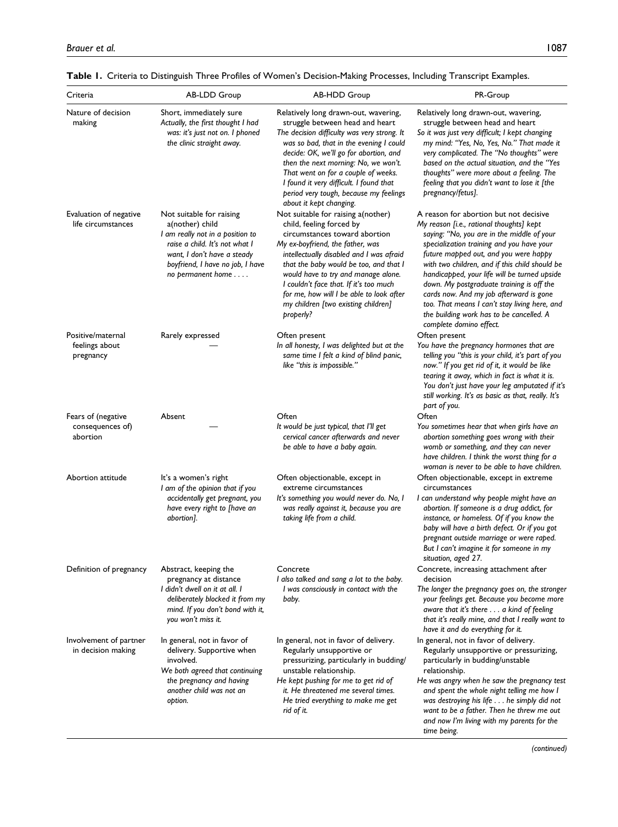| Criteria                                           | AB-LDD Group                                                                                                                                                                                              | <b>AB-HDD Group</b>                                                                                                                                                                                                                                                                                                                                                                                        | PR-Group                                                                                                                                                                                                                                                                                                                                                                                                                                                                                                                                 |
|----------------------------------------------------|-----------------------------------------------------------------------------------------------------------------------------------------------------------------------------------------------------------|------------------------------------------------------------------------------------------------------------------------------------------------------------------------------------------------------------------------------------------------------------------------------------------------------------------------------------------------------------------------------------------------------------|------------------------------------------------------------------------------------------------------------------------------------------------------------------------------------------------------------------------------------------------------------------------------------------------------------------------------------------------------------------------------------------------------------------------------------------------------------------------------------------------------------------------------------------|
| Nature of decision<br>making                       | Short, immediately sure<br>Actually, the first thought I had<br>was: it's just not on. I phoned<br>the clinic straight away.                                                                              | Relatively long drawn-out, wavering,<br>struggle between head and heart<br>The decision difficulty was very strong. It<br>was so bad, that in the evening I could<br>decide: OK, we'll go for abortion, and<br>then the next morning: No, we won't.<br>That went on for a couple of weeks.<br>I found it very difficult. I found that<br>period very tough, because my feelings<br>about it kept changing. | Relatively long drawn-out, wavering,<br>struggle between head and heart<br>So it was just very difficult; I kept changing<br>my mind: "Yes, No, Yes, No." That made it<br>very complicated. The "No thoughts" were<br>based on the actual situation, and the "Yes<br>thoughts" were more about a feeling. The<br>feeling that you didn't want to lose it [the<br>pregnancy/fetus].                                                                                                                                                       |
| Evaluation of negative<br>life circumstances       | Not suitable for raising<br>a(nother) child<br>I am really not in a position to<br>raise a child. It's not what I<br>want, I don't have a steady<br>boyfriend, I have no job, I have<br>no permanent home | Not suitable for raising a(nother)<br>child, feeling forced by<br>circumstances toward abortion<br>My ex-boyfriend, the father, was<br>intellectually disabled and I was afraid<br>that the baby would be too, and that I<br>would have to try and manage alone.<br>I couldn't face that. If it's too much<br>for me, how will I be able to look after<br>my children [two existing children]<br>properly? | A reason for abortion but not decisive<br>My reason [i.e., rational thoughts] kept<br>saying: "No, you are in the middle of your<br>specialization training and you have your<br>future mapped out, and you were happy<br>with two children, and if this child should be<br>handicapped, your life will be turned upside<br>down. My postgraduate training is off the<br>cards now. And my job afterward is gone<br>too. That means I can't stay living here, and<br>the building work has to be cancelled. A<br>complete domino effect. |
| Positive/maternal<br>feelings about<br>pregnancy   | Rarely expressed                                                                                                                                                                                          | Often present<br>In all honesty, I was delighted but at the<br>same time I felt a kind of blind panic,<br>like "this is impossible."                                                                                                                                                                                                                                                                       | Often present<br>You have the pregnancy hormones that are<br>telling you "this is your child, it's part of you<br>now." If you get rid of it, it would be like<br>tearing it away, which in fact is what it is.<br>You don't just have your leg amputated if it's<br>still working. It's as basic as that, really. It's<br>part of you.                                                                                                                                                                                                  |
| Fears of (negative<br>consequences of)<br>abortion | Absent                                                                                                                                                                                                    | Often<br>It would be just typical, that I'll get<br>cervical cancer afterwards and never<br>be able to have a baby again.                                                                                                                                                                                                                                                                                  | Often<br>You sometimes hear that when girls have an<br>abortion something goes wrong with their<br>womb or something, and they can never<br>have children. I think the worst thing for a<br>woman is never to be able to have children.                                                                                                                                                                                                                                                                                                  |
| Abortion attitude                                  | It's a women's right<br>I am of the opinion that if you<br>accidentally get pregnant, you<br>have every right to [have an<br>abortion].                                                                   | Often objectionable, except in<br>extreme circumstances<br>It's something you would never do. No, I<br>was really against it, because you are<br>taking life from a child.                                                                                                                                                                                                                                 | Often objectionable, except in extreme<br>circumstances<br>I can understand why people might have an<br>abortion. If someone is a drug addict, for<br>instance, or homeless. Of if you know the<br>baby will have a birth defect. Or if you got<br>pregnant outside marriage or were raped.<br>But I can't imagine it for someone in my<br>situation, aged 27.                                                                                                                                                                           |
| Definition of pregnancy                            | Abstract, keeping the<br>pregnancy at distance<br>I didn't dwell on it at all. I<br>deliberately blocked it from my<br>mind. If you don't bond with it,<br>you won't miss it.                             | Concrete<br>I also talked and sang a lot to the baby.<br>I was consciously in contact with the<br>baby.                                                                                                                                                                                                                                                                                                    | Concrete, increasing attachment after<br>decision<br>The longer the pregnancy goes on, the stronger<br>your feelings get. Because you become more<br>aware that it's there a kind of feeling<br>that it's really mine, and that I really want to<br>have it and do everything for it.                                                                                                                                                                                                                                                    |
| Involvement of partner<br>in decision making       | In general, not in favor of<br>delivery. Supportive when<br>involved.<br>We both agreed that continuing<br>the pregnancy and having<br>another child was not an<br>option.                                | In general, not in favor of delivery.<br>Regularly unsupportive or<br>pressurizing, particularly in budding/<br>unstable relationship.<br>He kept pushing for me to get rid of<br>it. He threatened me several times.<br>He tried everything to make me get<br>rid of it.                                                                                                                                  | In general, not in favor of delivery.<br>Regularly unsupportive or pressurizing,<br>particularly in budding/unstable<br>relationship.<br>He was angry when he saw the pregnancy test<br>and spent the whole night telling me how I<br>was destroying his life he simply did not<br>want to be a father. Then he threw me out<br>and now I'm living with my parents for the<br>time being.                                                                                                                                                |

|  | Table 1. Criteria to Distinguish Three Profiles of Women's Decision-Making Processes, Including Transcript Examples. |  |  |
|--|----------------------------------------------------------------------------------------------------------------------|--|--|
|  |                                                                                                                      |  |  |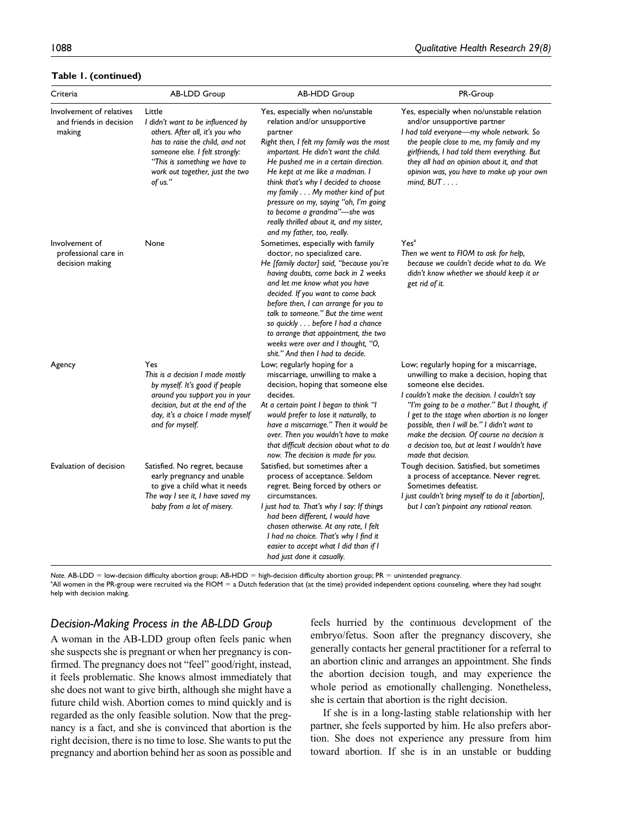#### **Table 1. (continued)**

| Criteria                                                      | AB-LDD Group                                                                                                                                                                                                                       | <b>AB-HDD Group</b>                                                                                                                                                                                                                                                                                                                                                                                                                                                       | PR-Group                                                                                                                                                                                                                                                                                                                                                                                                                              |
|---------------------------------------------------------------|------------------------------------------------------------------------------------------------------------------------------------------------------------------------------------------------------------------------------------|---------------------------------------------------------------------------------------------------------------------------------------------------------------------------------------------------------------------------------------------------------------------------------------------------------------------------------------------------------------------------------------------------------------------------------------------------------------------------|---------------------------------------------------------------------------------------------------------------------------------------------------------------------------------------------------------------------------------------------------------------------------------------------------------------------------------------------------------------------------------------------------------------------------------------|
| Involvement of relatives<br>and friends in decision<br>making | Little<br>I didn't want to be influenced by<br>others. After all, it's you who<br>has to raise the child, and not<br>someone else. I felt strongly:<br>"This is something we have to<br>work out together, just the two<br>of us." | Yes, especially when no/unstable<br>relation and/or unsupportive<br>partner<br>Right then, I felt my family was the most<br>important. He didn't want the child.<br>He pushed me in a certain direction.<br>He kept at me like a madman. I<br>think that's why I decided to choose<br>my family My mother kind of put<br>pressure on my, saying "oh, I'm going<br>to become a grandma"-she was<br>really thrilled about it, and my sister,<br>and my father, too, really. | Yes, especially when no/unstable relation<br>and/or unsupportive partner<br>I had told everyone-my whole network. So<br>the people close to me, my family and my<br>girlfriends, I had told them everything. But<br>they all had an opinion about it, and that<br>opinion was, you have to make up your own<br>mind, BUT                                                                                                              |
| Involvement of<br>professional care in<br>decision making     | None                                                                                                                                                                                                                               | Sometimes, especially with family<br>doctor, no specialized care.<br>He [family doctor] said, "because you're<br>having doubts, come back in 2 weeks<br>and let me know what you have<br>decided. If you want to come back<br>before then, I can arrange for you to<br>talk to someone." But the time went<br>so quickly before I had a chance<br>to arrange that appointment, the two<br>weeks were over and I thought, "O,<br>shit." And then I had to decide.          | Yes <sup>a</sup><br>Then we went to FIOM to ask for help,<br>because we couldn't decide what to do. We<br>didn't know whether we should keep it or<br>get rid of it.                                                                                                                                                                                                                                                                  |
| Agency                                                        | Yes<br>This is a decision I made mostly<br>by myself. It's good if people<br>around you support you in your<br>decision, but at the end of the<br>day, it's a choice I made myself<br>and for myself.                              | Low; regularly hoping for a<br>miscarriage, unwilling to make a<br>decision, hoping that someone else<br>decides.<br>At a certain point I began to think "I<br>would prefer to lose it naturally, to<br>have a miscarriage." Then it would be<br>over. Then you wouldn't have to make<br>that difficult decision about what to do<br>now. The decision is made for you.                                                                                                   | Low; regularly hoping for a miscarriage,<br>unwilling to make a decision, hoping that<br>someone else decides.<br>I couldn't make the decision. I couldn't say<br>"I'm going to be a mother." But I thought, if<br>I get to the stage when abortion is no longer<br>possible, then I will be." I didn't want to<br>make the decision. Of course no decision is<br>a decision too, but at least I wouldn't have<br>made that decision. |
| Evaluation of decision                                        | Satisfied. No regret, because<br>early pregnancy and unable<br>to give a child what it needs<br>The way I see it, I have saved my<br>baby from a lot of misery.                                                                    | Satisfied, but sometimes after a<br>process of acceptance. Seldom<br>regret. Being forced by others or<br>circumstances.<br>I just had to. That's why I say: If things<br>had been different, I would have<br>chosen otherwise. At any rate, I felt<br>I had no choice. That's why I find it<br>easier to accept what I did than if I<br>had just done it casually.                                                                                                       | Tough decision. Satisfied, but sometimes<br>a process of acceptance. Never regret.<br>Sometimes defeatist.<br>I just couldn't bring myself to do it [abortion],<br>but I can't pinpoint any rational reason.                                                                                                                                                                                                                          |

*Note.* AB-LDD = low-decision difficulty abortion group; AB-HDD = high-decision difficulty abortion group; PR = unintended pregnancy. <sup>a</sup>All women in the PR-group were recruited via the FIOM = a Dutch federation that (at the time) provided independent options counseling, where they had sought

help with decision making.

# *Decision-Making Process in the AB-LDD Group*

A woman in the AB-LDD group often feels panic when she suspects she is pregnant or when her pregnancy is confirmed. The pregnancy does not "feel" good/right, instead, it feels problematic. She knows almost immediately that she does not want to give birth, although she might have a future child wish. Abortion comes to mind quickly and is regarded as the only feasible solution. Now that the pregnancy is a fact, and she is convinced that abortion is the right decision, there is no time to lose. She wants to put the pregnancy and abortion behind her as soon as possible and feels hurried by the continuous development of the embryo/fetus. Soon after the pregnancy discovery, she generally contacts her general practitioner for a referral to an abortion clinic and arranges an appointment. She finds the abortion decision tough, and may experience the whole period as emotionally challenging. Nonetheless, she is certain that abortion is the right decision.

If she is in a long-lasting stable relationship with her partner, she feels supported by him. He also prefers abortion. She does not experience any pressure from him toward abortion. If she is in an unstable or budding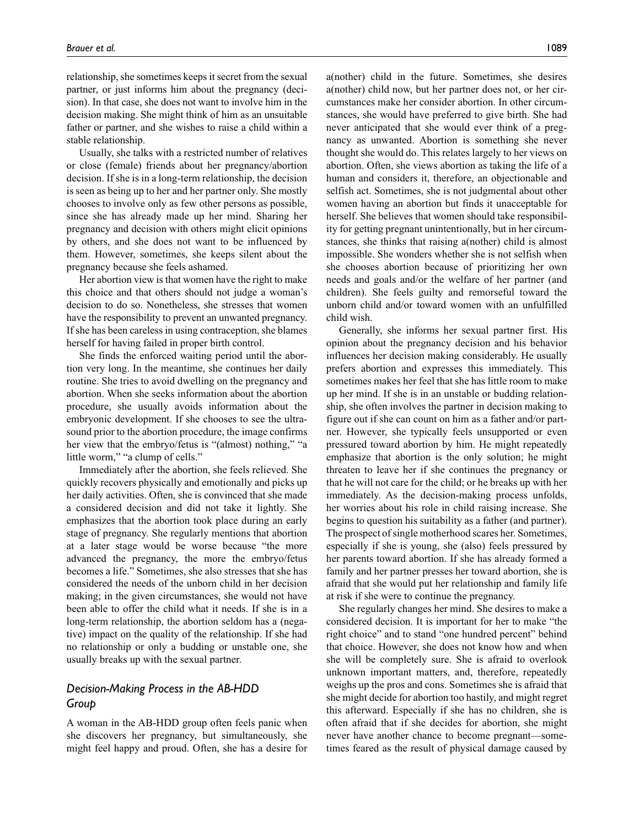relationship, she sometimes keeps it secret from the sexual partner, or just informs him about the pregnancy (decision). In that case, she does not want to involve him in the decision making. She might think of him as an unsuitable father or partner, and she wishes to raise a child within a stable relationship.

Usually, she talks with a restricted number of relatives or close (female) friends about her pregnancy/abortion decision. If she is in a long-term relationship, the decision is seen as being up to her and her partner only. She mostly chooses to involve only as few other persons as possible, since she has already made up her mind. Sharing her pregnancy and decision with others might elicit opinions by others, and she does not want to be influenced by them. However, sometimes, she keeps silent about the pregnancy because she feels ashamed.

Her abortion view is that women have the right to make this choice and that others should not judge a woman's decision to do so. Nonetheless, she stresses that women have the responsibility to prevent an unwanted pregnancy. If she has been careless in using contraception, she blames herself for having failed in proper birth control.

She finds the enforced waiting period until the abortion very long. In the meantime, she continues her daily routine. She tries to avoid dwelling on the pregnancy and abortion. When she seeks information about the abortion procedure, she usually avoids information about the embryonic development. If she chooses to see the ultrasound prior to the abortion procedure, the image confirms her view that the embryo/fetus is "(almost) nothing," "a little worm," "a clump of cells."

Immediately after the abortion, she feels relieved. She quickly recovers physically and emotionally and picks up her daily activities. Often, she is convinced that she made a considered decision and did not take it lightly. She emphasizes that the abortion took place during an early stage of pregnancy. She regularly mentions that abortion at a later stage would be worse because "the more advanced the pregnancy, the more the embryo/fetus becomes a life." Sometimes, she also stresses that she has considered the needs of the unborn child in her decision making; in the given circumstances, she would not have been able to offer the child what it needs. If she is in a long-term relationship, the abortion seldom has a (negative) impact on the quality of the relationship. If she had no relationship or only a budding or unstable one, she usually breaks up with the sexual partner.

# *Decision-Making Process in the AB-HDD Group*

A woman in the AB-HDD group often feels panic when she discovers her pregnancy, but simultaneously, she might feel happy and proud. Often, she has a desire for a(nother) child in the future. Sometimes, she desires a(nother) child now, but her partner does not, or her circumstances make her consider abortion. In other circumstances, she would have preferred to give birth. She had never anticipated that she would ever think of a pregnancy as unwanted. Abortion is something she never thought she would do. This relates largely to her views on abortion. Often, she views abortion as taking the life of a human and considers it, therefore, an objectionable and selfish act. Sometimes, she is not judgmental about other women having an abortion but finds it unacceptable for herself. She believes that women should take responsibility for getting pregnant unintentionally, but in her circumstances, she thinks that raising a(nother) child is almost impossible. She wonders whether she is not selfish when she chooses abortion because of prioritizing her own needs and goals and/or the welfare of her partner (and children). She feels guilty and remorseful toward the unborn child and/or toward women with an unfulfilled child wish.

Generally, she informs her sexual partner first. His opinion about the pregnancy decision and his behavior influences her decision making considerably. He usually prefers abortion and expresses this immediately. This sometimes makes her feel that she has little room to make up her mind. If she is in an unstable or budding relationship, she often involves the partner in decision making to figure out if she can count on him as a father and/or partner. However, she typically feels unsupported or even pressured toward abortion by him. He might repeatedly emphasize that abortion is the only solution; he might threaten to leave her if she continues the pregnancy or that he will not care for the child; or he breaks up with her immediately. As the decision-making process unfolds, her worries about his role in child raising increase. She begins to question his suitability as a father (and partner). The prospect of single motherhood scares her. Sometimes, especially if she is young, she (also) feels pressured by her parents toward abortion. If she has already formed a family and her partner presses her toward abortion, she is afraid that she would put her relationship and family life at risk if she were to continue the pregnancy.

She regularly changes her mind. She desires to make a considered decision. It is important for her to make "the right choice" and to stand "one hundred percent" behind that choice. However, she does not know how and when she will be completely sure. She is afraid to overlook unknown important matters, and, therefore, repeatedly weighs up the pros and cons. Sometimes she is afraid that she might decide for abortion too hastily, and might regret this afterward. Especially if she has no children, she is often afraid that if she decides for abortion, she might never have another chance to become pregnant—sometimes feared as the result of physical damage caused by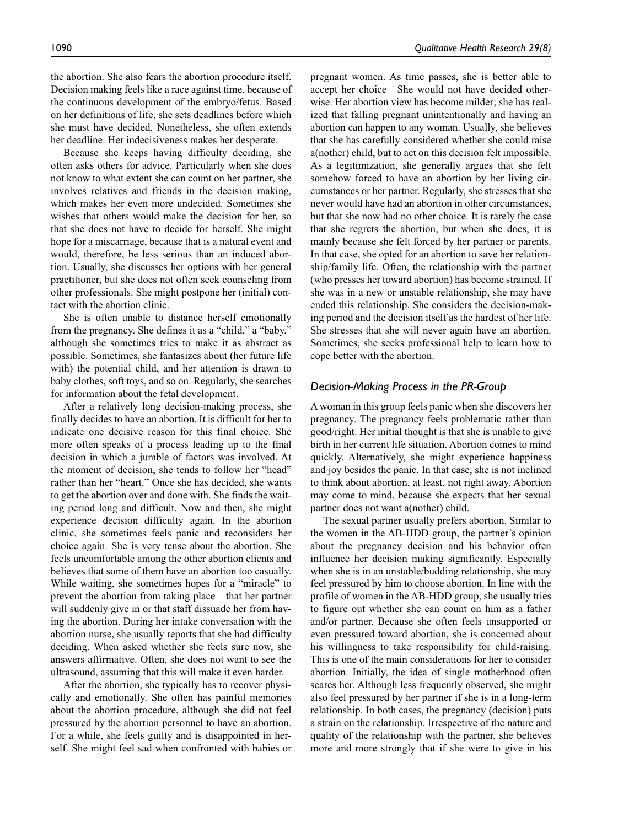the abortion. She also fears the abortion procedure itself. Decision making feels like a race against time, because of the continuous development of the embryo/fetus. Based on her definitions of life, she sets deadlines before which she must have decided. Nonetheless, she often extends her deadline. Her indecisiveness makes her desperate.

Because she keeps having difficulty deciding, she often asks others for advice. Particularly when she does not know to what extent she can count on her partner, she involves relatives and friends in the decision making, which makes her even more undecided. Sometimes she wishes that others would make the decision for her, so that she does not have to decide for herself. She might hope for a miscarriage, because that is a natural event and would, therefore, be less serious than an induced abortion. Usually, she discusses her options with her general practitioner, but she does not often seek counseling from other professionals. She might postpone her (initial) contact with the abortion clinic.

She is often unable to distance herself emotionally from the pregnancy. She defines it as a "child," a "baby," although she sometimes tries to make it as abstract as possible. Sometimes, she fantasizes about (her future life with) the potential child, and her attention is drawn to baby clothes, soft toys, and so on. Regularly, she searches for information about the fetal development.

After a relatively long decision-making process, she finally decides to have an abortion. It is difficult for her to indicate one decisive reason for this final choice. She more often speaks of a process leading up to the final decision in which a jumble of factors was involved. At the moment of decision, she tends to follow her "head" rather than her "heart." Once she has decided, she wants to get the abortion over and done with. She finds the waiting period long and difficult. Now and then, she might experience decision difficulty again. In the abortion clinic, she sometimes feels panic and reconsiders her choice again. She is very tense about the abortion. She feels uncomfortable among the other abortion clients and believes that some of them have an abortion too casually. While waiting, she sometimes hopes for a "miracle" to prevent the abortion from taking place—that her partner will suddenly give in or that staff dissuade her from having the abortion. During her intake conversation with the abortion nurse, she usually reports that she had difficulty deciding. When asked whether she feels sure now, she answers affirmative. Often, she does not want to see the ultrasound, assuming that this will make it even harder.

After the abortion, she typically has to recover physically and emotionally. She often has painful memories about the abortion procedure, although she did not feel pressured by the abortion personnel to have an abortion. For a while, she feels guilty and is disappointed in herself. She might feel sad when confronted with babies or pregnant women. As time passes, she is better able to accept her choice—She would not have decided otherwise. Her abortion view has become milder; she has realized that falling pregnant unintentionally and having an abortion can happen to any woman. Usually, she believes that she has carefully considered whether she could raise a(nother) child, but to act on this decision felt impossible. As a legitimization, she generally argues that she felt somehow forced to have an abortion by her living circumstances or her partner. Regularly, she stresses that she never would have had an abortion in other circumstances, but that she now had no other choice. It is rarely the case that she regrets the abortion, but when she does, it is mainly because she felt forced by her partner or parents. In that case, she opted for an abortion to save her relationship/family life. Often, the relationship with the partner (who presses her toward abortion) has become strained. If she was in a new or unstable relationship, she may have ended this relationship. She considers the decision-making period and the decision itself as the hardest of her life. She stresses that she will never again have an abortion. Sometimes, she seeks professional help to learn how to cope better with the abortion.

### *Decision-Making Process in the PR-Group*

A woman in this group feels panic when she discovers her pregnancy. The pregnancy feels problematic rather than good/right. Her initial thought is that she is unable to give birth in her current life situation. Abortion comes to mind quickly. Alternatively, she might experience happiness and joy besides the panic. In that case, she is not inclined to think about abortion, at least, not right away. Abortion may come to mind, because she expects that her sexual partner does not want a(nother) child.

The sexual partner usually prefers abortion. Similar to the women in the AB-HDD group, the partner's opinion about the pregnancy decision and his behavior often influence her decision making significantly. Especially when she is in an unstable/budding relationship, she may feel pressured by him to choose abortion. In line with the profile of women in the AB-HDD group, she usually tries to figure out whether she can count on him as a father and/or partner. Because she often feels unsupported or even pressured toward abortion, she is concerned about his willingness to take responsibility for child-raising. This is one of the main considerations for her to consider abortion. Initially, the idea of single motherhood often scares her. Although less frequently observed, she might also feel pressured by her partner if she is in a long-term relationship. In both cases, the pregnancy (decision) puts a strain on the relationship. Irrespective of the nature and quality of the relationship with the partner, she believes more and more strongly that if she were to give in his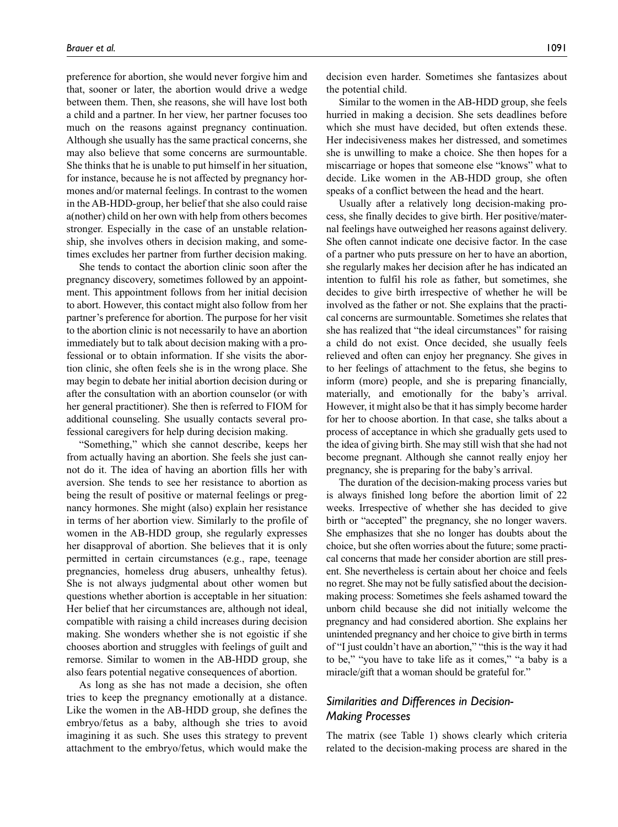preference for abortion, she would never forgive him and that, sooner or later, the abortion would drive a wedge between them. Then, she reasons, she will have lost both a child and a partner. In her view, her partner focuses too much on the reasons against pregnancy continuation. Although she usually has the same practical concerns, she may also believe that some concerns are surmountable. She thinks that he is unable to put himself in her situation, for instance, because he is not affected by pregnancy hormones and/or maternal feelings. In contrast to the women in the AB-HDD-group, her belief that she also could raise a(nother) child on her own with help from others becomes stronger. Especially in the case of an unstable relationship, she involves others in decision making, and sometimes excludes her partner from further decision making.

She tends to contact the abortion clinic soon after the pregnancy discovery, sometimes followed by an appointment. This appointment follows from her initial decision to abort. However, this contact might also follow from her partner's preference for abortion. The purpose for her visit to the abortion clinic is not necessarily to have an abortion immediately but to talk about decision making with a professional or to obtain information. If she visits the abortion clinic, she often feels she is in the wrong place. She may begin to debate her initial abortion decision during or after the consultation with an abortion counselor (or with her general practitioner). She then is referred to FIOM for additional counseling. She usually contacts several professional caregivers for help during decision making.

"Something," which she cannot describe, keeps her from actually having an abortion. She feels she just cannot do it. The idea of having an abortion fills her with aversion. She tends to see her resistance to abortion as being the result of positive or maternal feelings or pregnancy hormones. She might (also) explain her resistance in terms of her abortion view. Similarly to the profile of women in the AB-HDD group, she regularly expresses her disapproval of abortion. She believes that it is only permitted in certain circumstances (e.g., rape, teenage pregnancies, homeless drug abusers, unhealthy fetus). She is not always judgmental about other women but questions whether abortion is acceptable in her situation: Her belief that her circumstances are, although not ideal, compatible with raising a child increases during decision making. She wonders whether she is not egoistic if she chooses abortion and struggles with feelings of guilt and remorse. Similar to women in the AB-HDD group, she also fears potential negative consequences of abortion.

As long as she has not made a decision, she often tries to keep the pregnancy emotionally at a distance. Like the women in the AB-HDD group, she defines the embryo/fetus as a baby, although she tries to avoid imagining it as such. She uses this strategy to prevent attachment to the embryo/fetus, which would make the

decision even harder. Sometimes she fantasizes about the potential child.

Similar to the women in the AB-HDD group, she feels hurried in making a decision. She sets deadlines before which she must have decided, but often extends these. Her indecisiveness makes her distressed, and sometimes she is unwilling to make a choice. She then hopes for a miscarriage or hopes that someone else "knows" what to decide. Like women in the AB-HDD group, she often speaks of a conflict between the head and the heart.

Usually after a relatively long decision-making process, she finally decides to give birth. Her positive/maternal feelings have outweighed her reasons against delivery. She often cannot indicate one decisive factor. In the case of a partner who puts pressure on her to have an abortion, she regularly makes her decision after he has indicated an intention to fulfil his role as father, but sometimes, she decides to give birth irrespective of whether he will be involved as the father or not. She explains that the practical concerns are surmountable. Sometimes she relates that she has realized that "the ideal circumstances" for raising a child do not exist. Once decided, she usually feels relieved and often can enjoy her pregnancy. She gives in to her feelings of attachment to the fetus, she begins to inform (more) people, and she is preparing financially, materially, and emotionally for the baby's arrival. However, it might also be that it has simply become harder for her to choose abortion. In that case, she talks about a process of acceptance in which she gradually gets used to the idea of giving birth. She may still wish that she had not become pregnant. Although she cannot really enjoy her pregnancy, she is preparing for the baby's arrival.

The duration of the decision-making process varies but is always finished long before the abortion limit of 22 weeks. Irrespective of whether she has decided to give birth or "accepted" the pregnancy, she no longer wavers. She emphasizes that she no longer has doubts about the choice, but she often worries about the future; some practical concerns that made her consider abortion are still present. She nevertheless is certain about her choice and feels no regret. She may not be fully satisfied about the decisionmaking process: Sometimes she feels ashamed toward the unborn child because she did not initially welcome the pregnancy and had considered abortion. She explains her unintended pregnancy and her choice to give birth in terms of "I just couldn't have an abortion," "this is the way it had to be," "you have to take life as it comes," "a baby is a miracle/gift that a woman should be grateful for."

# *Similarities and Differences in Decision-Making Processes*

The matrix (see Table 1) shows clearly which criteria related to the decision-making process are shared in the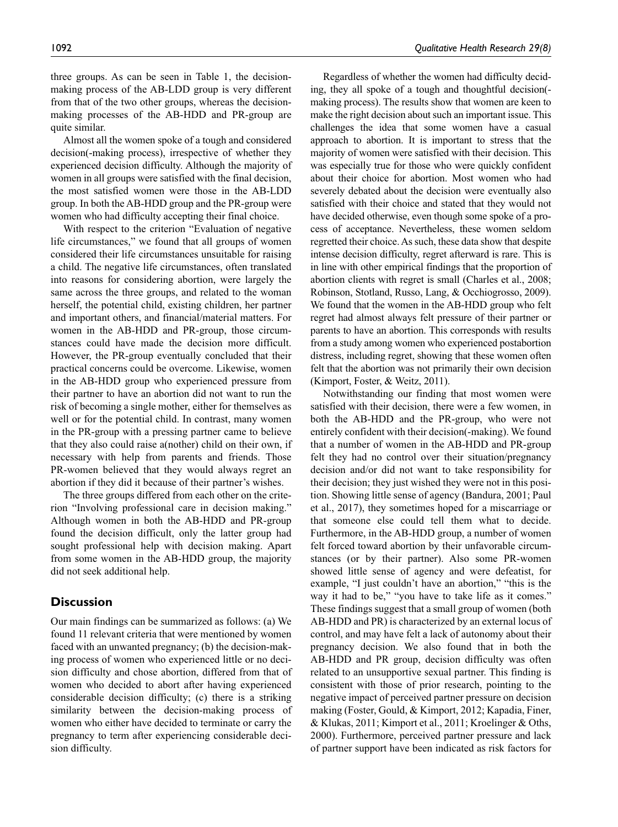three groups. As can be seen in Table 1, the decisionmaking process of the AB-LDD group is very different from that of the two other groups, whereas the decisionmaking processes of the AB-HDD and PR-group are quite similar.

Almost all the women spoke of a tough and considered decision(-making process), irrespective of whether they experienced decision difficulty. Although the majority of women in all groups were satisfied with the final decision, the most satisfied women were those in the AB-LDD group. In both the AB-HDD group and the PR-group were women who had difficulty accepting their final choice.

With respect to the criterion "Evaluation of negative life circumstances," we found that all groups of women considered their life circumstances unsuitable for raising a child. The negative life circumstances, often translated into reasons for considering abortion, were largely the same across the three groups, and related to the woman herself, the potential child, existing children, her partner and important others, and financial/material matters. For women in the AB-HDD and PR-group, those circumstances could have made the decision more difficult. However, the PR-group eventually concluded that their practical concerns could be overcome. Likewise, women in the AB-HDD group who experienced pressure from their partner to have an abortion did not want to run the risk of becoming a single mother, either for themselves as well or for the potential child. In contrast, many women in the PR-group with a pressing partner came to believe that they also could raise a(nother) child on their own, if necessary with help from parents and friends. Those PR-women believed that they would always regret an abortion if they did it because of their partner's wishes.

The three groups differed from each other on the criterion "Involving professional care in decision making." Although women in both the AB-HDD and PR-group found the decision difficult, only the latter group had sought professional help with decision making. Apart from some women in the AB-HDD group, the majority did not seek additional help.

# **Discussion**

Our main findings can be summarized as follows: (a) We found 11 relevant criteria that were mentioned by women faced with an unwanted pregnancy; (b) the decision-making process of women who experienced little or no decision difficulty and chose abortion, differed from that of women who decided to abort after having experienced considerable decision difficulty; (c) there is a striking similarity between the decision-making process of women who either have decided to terminate or carry the pregnancy to term after experiencing considerable decision difficulty.

Regardless of whether the women had difficulty deciding, they all spoke of a tough and thoughtful decision( making process). The results show that women are keen to make the right decision about such an important issue. This challenges the idea that some women have a casual approach to abortion. It is important to stress that the majority of women were satisfied with their decision. This was especially true for those who were quickly confident about their choice for abortion. Most women who had severely debated about the decision were eventually also satisfied with their choice and stated that they would not have decided otherwise, even though some spoke of a process of acceptance. Nevertheless, these women seldom regretted their choice. As such, these data show that despite intense decision difficulty, regret afterward is rare. This is in line with other empirical findings that the proportion of abortion clients with regret is small (Charles et al., 2008; Robinson, Stotland, Russo, Lang, & Occhiogrosso, 2009). We found that the women in the AB-HDD group who felt regret had almost always felt pressure of their partner or parents to have an abortion. This corresponds with results from a study among women who experienced postabortion distress, including regret, showing that these women often felt that the abortion was not primarily their own decision (Kimport, Foster, & Weitz, 2011).

Notwithstanding our finding that most women were satisfied with their decision, there were a few women, in both the AB-HDD and the PR-group, who were not entirely confident with their decision(-making). We found that a number of women in the AB-HDD and PR-group felt they had no control over their situation/pregnancy decision and/or did not want to take responsibility for their decision; they just wished they were not in this position. Showing little sense of agency (Bandura, 2001; Paul et al., 2017), they sometimes hoped for a miscarriage or that someone else could tell them what to decide. Furthermore, in the AB-HDD group, a number of women felt forced toward abortion by their unfavorable circumstances (or by their partner). Also some PR-women showed little sense of agency and were defeatist, for example, "I just couldn't have an abortion," "this is the way it had to be," "you have to take life as it comes." These findings suggest that a small group of women (both AB-HDD and PR) is characterized by an external locus of control, and may have felt a lack of autonomy about their pregnancy decision. We also found that in both the AB-HDD and PR group, decision difficulty was often related to an unsupportive sexual partner. This finding is consistent with those of prior research, pointing to the negative impact of perceived partner pressure on decision making (Foster, Gould, & Kimport, 2012; Kapadia, Finer, & Klukas, 2011; Kimport et al., 2011; Kroelinger & Oths, 2000). Furthermore, perceived partner pressure and lack of partner support have been indicated as risk factors for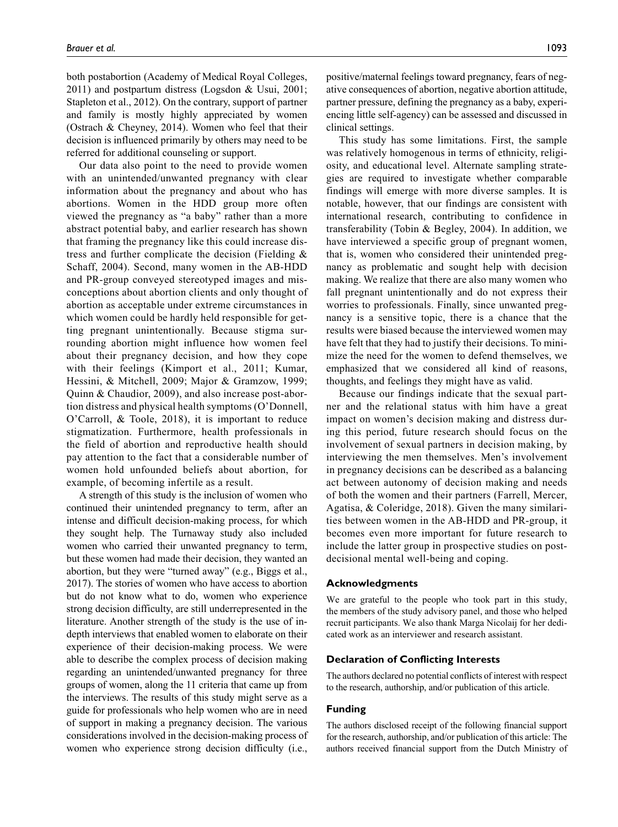both postabortion (Academy of Medical Royal Colleges, 2011) and postpartum distress (Logsdon & Usui, 2001; Stapleton et al., 2012). On the contrary, support of partner and family is mostly highly appreciated by women (Ostrach & Cheyney, 2014). Women who feel that their decision is influenced primarily by others may need to be referred for additional counseling or support.

Our data also point to the need to provide women with an unintended/unwanted pregnancy with clear information about the pregnancy and about who has abortions. Women in the HDD group more often viewed the pregnancy as "a baby" rather than a more abstract potential baby, and earlier research has shown that framing the pregnancy like this could increase distress and further complicate the decision (Fielding & Schaff, 2004). Second, many women in the AB-HDD and PR-group conveyed stereotyped images and misconceptions about abortion clients and only thought of abortion as acceptable under extreme circumstances in which women could be hardly held responsible for getting pregnant unintentionally. Because stigma surrounding abortion might influence how women feel about their pregnancy decision, and how they cope with their feelings (Kimport et al., 2011; Kumar, Hessini, & Mitchell, 2009; Major & Gramzow, 1999; Quinn & Chaudior, 2009), and also increase post-abortion distress and physical health symptoms (O'Donnell, O'Carroll, & Toole, 2018), it is important to reduce stigmatization. Furthermore, health professionals in the field of abortion and reproductive health should pay attention to the fact that a considerable number of women hold unfounded beliefs about abortion, for example, of becoming infertile as a result.

A strength of this study is the inclusion of women who continued their unintended pregnancy to term, after an intense and difficult decision-making process, for which they sought help. The Turnaway study also included women who carried their unwanted pregnancy to term, but these women had made their decision, they wanted an abortion, but they were "turned away" (e.g., Biggs et al., 2017). The stories of women who have access to abortion but do not know what to do, women who experience strong decision difficulty, are still underrepresented in the literature. Another strength of the study is the use of indepth interviews that enabled women to elaborate on their experience of their decision-making process. We were able to describe the complex process of decision making regarding an unintended/unwanted pregnancy for three groups of women, along the 11 criteria that came up from the interviews. The results of this study might serve as a guide for professionals who help women who are in need of support in making a pregnancy decision. The various considerations involved in the decision-making process of women who experience strong decision difficulty (i.e.,

positive/maternal feelings toward pregnancy, fears of negative consequences of abortion, negative abortion attitude, partner pressure, defining the pregnancy as a baby, experiencing little self-agency) can be assessed and discussed in clinical settings.

This study has some limitations. First, the sample was relatively homogenous in terms of ethnicity, religiosity, and educational level. Alternate sampling strategies are required to investigate whether comparable findings will emerge with more diverse samples. It is notable, however, that our findings are consistent with international research, contributing to confidence in transferability (Tobin & Begley, 2004). In addition, we have interviewed a specific group of pregnant women, that is, women who considered their unintended pregnancy as problematic and sought help with decision making. We realize that there are also many women who fall pregnant unintentionally and do not express their worries to professionals. Finally, since unwanted pregnancy is a sensitive topic, there is a chance that the results were biased because the interviewed women may have felt that they had to justify their decisions. To minimize the need for the women to defend themselves, we emphasized that we considered all kind of reasons, thoughts, and feelings they might have as valid.

Because our findings indicate that the sexual partner and the relational status with him have a great impact on women's decision making and distress during this period, future research should focus on the involvement of sexual partners in decision making, by interviewing the men themselves. Men's involvement in pregnancy decisions can be described as a balancing act between autonomy of decision making and needs of both the women and their partners (Farrell, Mercer, Agatisa, & Coleridge, 2018). Given the many similarities between women in the AB-HDD and PR-group, it becomes even more important for future research to include the latter group in prospective studies on postdecisional mental well-being and coping.

#### **Acknowledgments**

We are grateful to the people who took part in this study, the members of the study advisory panel, and those who helped recruit participants. We also thank Marga Nicolaij for her dedicated work as an interviewer and research assistant.

#### **Declaration of Conflicting Interests**

The authors declared no potential conflicts of interest with respect to the research, authorship, and/or publication of this article.

#### **Funding**

The authors disclosed receipt of the following financial support for the research, authorship, and/or publication of this article: The authors received financial support from the Dutch Ministry of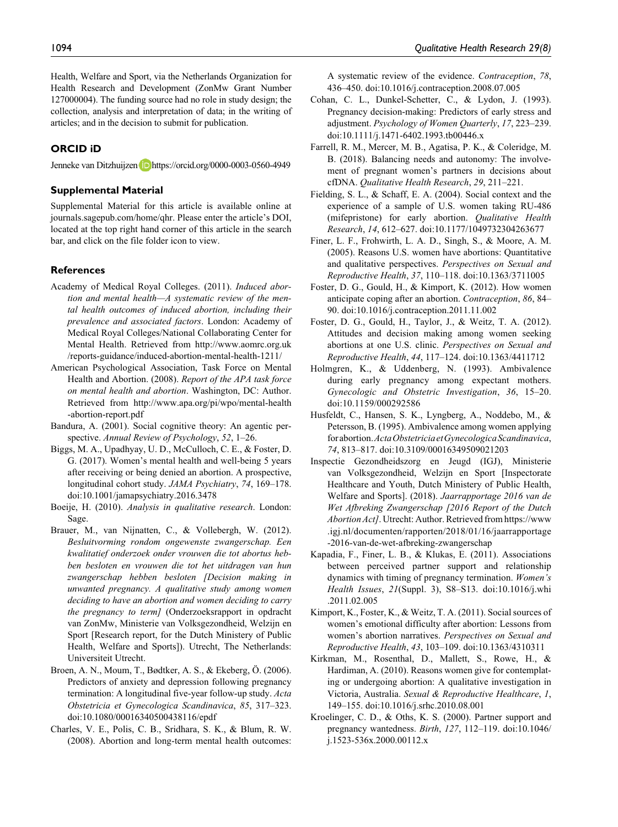Health, Welfare and Sport, via the Netherlands Organization for Health Research and Development (ZonMw Grant Number 127000004). The funding source had no role in study design; the collection, analysis and interpretation of data; in the writing of articles; and in the decision to submit for publication.

### **ORCID iD**

Jenneke van Ditzhuijzen D<https://orcid.org/0000-0003-0560-4949>

### **Supplemental Material**

Supplemental Material for this article is available online at journals.sagepub.com/home/qhr. Please enter the article's DOI, located at the top right hand corner of this article in the search bar, and click on the file folder icon to view.

### **References**

- Academy of Medical Royal Colleges. (2011). *Induced abortion and mental health—A systematic review of the mental health outcomes of induced abortion, including their prevalence and associated factors*. London: Academy of Medical Royal Colleges/National Collaborating Center for Mental Health. Retrieved from [http://www.aomrc.org.uk](http://www.aomrc.org.uk/reports-guidance/induced-abortion-mental-health-1211/) [/reports-guidance/induced-abortion-mental-health-1211/](http://www.aomrc.org.uk/reports-guidance/induced-abortion-mental-health-1211/)
- American Psychological Association, Task Force on Mental Health and Abortion. (2008). *Report of the APA task force on mental health and abortion*. Washington, DC: Author. Retrieved from [http://www.apa.org/pi/wpo/mental-health](http://www.apa.org/pi/wpo/mental-health-abortion-report.pdf) [-abortion-report.pdf](http://www.apa.org/pi/wpo/mental-health-abortion-report.pdf)
- Bandura, A. (2001). Social cognitive theory: An agentic perspective. *Annual Review of Psychology*, *52*, 1–26.
- Biggs, M. A., Upadhyay, U. D., McCulloch, C. E., & Foster, D. G. (2017). Women's mental health and well-being 5 years after receiving or being denied an abortion. A prospective, longitudinal cohort study. *JAMA Psychiatry*, *74*, 169–178. doi:10.1001/jamapsychiatry.2016.3478
- Boeije, H. (2010). *Analysis in qualitative research*. London: Sage.
- Brauer, M., van Nijnatten, C., & Vollebergh, W. (2012). *Besluitvorming rondom ongewenste zwangerschap. Een kwalitatief onderzoek onder vrouwen die tot abortus hebben besloten en vrouwen die tot het uitdragen van hun zwangerschap hebben besloten [Decision making in unwanted pregnancy. A qualitative study among women deciding to have an abortion and women deciding to carry the pregnancy to term]* (Onderzoeksrapport in opdracht van ZonMw, Ministerie van Volksgezondheid, Welzijn en Sport [Research report, for the Dutch Ministery of Public Health, Welfare and Sports]). Utrecht, The Netherlands: Universiteit Utrecht.
- Broen, A. N., Moum, T., Bødtker, A. S., & Ekeberg, Ö. (2006). Predictors of anxiety and depression following pregnancy termination: A longitudinal five-year follow-up study. *Acta Obstetricia et Gynecologica Scandinavica*, *85*, 317–323. doi:10.1080/00016340500438116/epdf
- Charles, V. E., Polis, C. B., Sridhara, S. K., & Blum, R. W. (2008). Abortion and long-term mental health outcomes:

A systematic review of the evidence. *Contraception*, *78*, 436–450. doi:10.1016/j.contraception.2008.07.005

- Cohan, C. L., Dunkel-Schetter, C., & Lydon, J. (1993). Pregnancy decision-making: Predictors of early stress and adjustment. *Psychology of Women Quarterly*, *17*, 223–239. doi:10.1111/j.1471-6402.1993.tb00446.x
- Farrell, R. M., Mercer, M. B., Agatisa, P. K., & Coleridge, M. B. (2018). Balancing needs and autonomy: The involvement of pregnant women's partners in decisions about cfDNA. *Qualitative Health Research*, *29*, 211–221.
- Fielding, S. L., & Schaff, E. A. (2004). Social context and the experience of a sample of U.S. women taking RU-486 (mifepristone) for early abortion. *Qualitative Health Research*, *14*, 612–627. doi:10.1177/1049732304263677
- Finer, L. F., Frohwirth, L. A. D., Singh, S., & Moore, A. M. (2005). Reasons U.S. women have abortions: Quantitative and qualitative perspectives. *Perspectives on Sexual and Reproductive Health*, *37*, 110–118. doi:10.1363/3711005
- Foster, D. G., Gould, H., & Kimport, K. (2012). How women anticipate coping after an abortion. *Contraception*, *86*, 84– 90. doi:10.1016/j.contraception.2011.11.002
- Foster, D. G., Gould, H., Taylor, J., & Weitz, T. A. (2012). Attitudes and decision making among women seeking abortions at one U.S. clinic. *Perspectives on Sexual and Reproductive Health*, *44*, 117–124. doi:10.1363/4411712
- Holmgren, K., & Uddenberg, N. (1993). Ambivalence during early pregnancy among expectant mothers. *Gynecologic and Obstetric Investigation*, *36*, 15–20. doi:10.1159/000292586
- Husfeldt, C., Hansen, S. K., Lyngberg, A., Noddebo, M., & Petersson, B. (1995). Ambivalence among women applying for abortion. *Acta Obstetricia et Gynecologica Scandinavica*, *74*, 813–817. doi:10.3109/00016349509021203
- Inspectie Gezondheidszorg en Jeugd (IGJ), Ministerie van Volksgezondheid, Welzijn en Sport [Inspectorate Healthcare and Youth, Dutch Ministery of Public Health, Welfare and Sports]. (2018). *Jaarrapportage 2016 van de Wet Afbreking Zwangerschap [2016 Report of the Dutch Abortion Act]*. Utrecht: Author. Retrieved from [https://www](https://www.igj.nl/documenten/rapporten/2018/01/16/jaarrapportage-2016-van-de-wet-afbreking-zwangerschap) [.igj.nl/documenten/rapporten/2018/01/16/jaarrapportage](https://www.igj.nl/documenten/rapporten/2018/01/16/jaarrapportage-2016-van-de-wet-afbreking-zwangerschap) [-2016-van-de-wet-afbreking-zwangerschap](https://www.igj.nl/documenten/rapporten/2018/01/16/jaarrapportage-2016-van-de-wet-afbreking-zwangerschap)
- Kapadia, F., Finer, L. B., & Klukas, E. (2011). Associations between perceived partner support and relationship dynamics with timing of pregnancy termination. *Women's Health Issues*, *21*(Suppl. 3), S8–S13. doi:10.1016/j.whi .2011.02.005
- Kimport, K., Foster, K., & Weitz, T. A. (2011). Social sources of women's emotional difficulty after abortion: Lessons from women's abortion narratives. *Perspectives on Sexual and Reproductive Health*, *43*, 103–109. doi:10.1363/4310311
- Kirkman, M., Rosenthal, D., Mallett, S., Rowe, H., & Hardiman, A. (2010). Reasons women give for contemplating or undergoing abortion: A qualitative investigation in Victoria, Australia. *Sexual & Reproductive Healthcare*, *1*, 149–155. doi:10.1016/j.srhc.2010.08.001
- Kroelinger, C. D., & Oths, K. S. (2000). Partner support and pregnancy wantedness. *Birth*, *127*, 112–119. doi:10.1046/ j.1523-536x.2000.00112.x